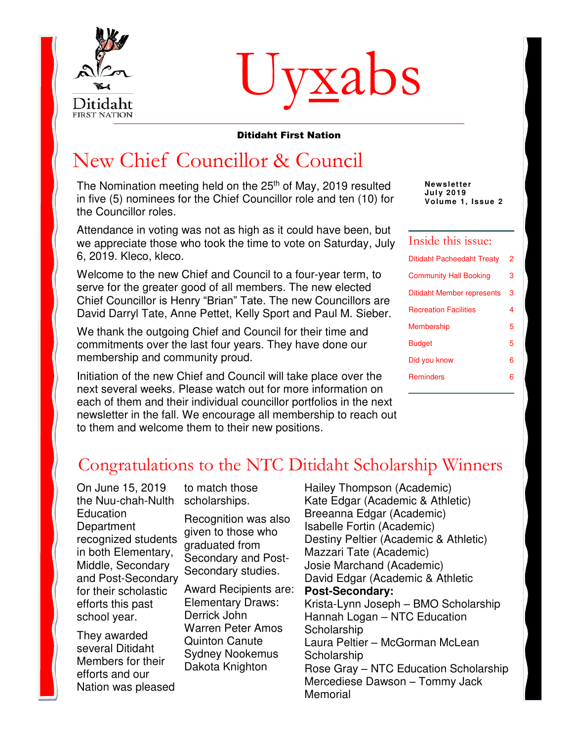

# Uyxabs

#### Ditidaht First Nation

### New Chief Councillor & Council

The Nomination meeting held on the 25<sup>th</sup> of May, 2019 resulted in five (5) nominees for the Chief Councillor role and ten (10) for the Councillor roles.

Attendance in voting was not as high as it could have been, but we appreciate those who took the time to vote on Saturday, July 6, 2019. Kleco, kleco.

Welcome to the new Chief and Council to a four-year term, to serve for the greater good of all members. The new elected Chief Councillor is Henry "Brian" Tate. The new Councillors are David Darryl Tate, Anne Pettet, Kelly Sport and Paul M. Sieber.

We thank the outgoing Chief and Council for their time and commitments over the last four years. They have done our membership and community proud.

Initiation of the new Chief and Council will take place over the next several weeks. Please watch out for more information on each of them and their individual councillor portfolios in the next newsletter in the fall. We encourage all membership to reach out to them and welcome them to their new positions.

**Newsletter Jul y 2019 Volume 1, Issue 2** 

#### Inside this issue:

| Ditidaht Pacheedaht Treaty    | 2 |
|-------------------------------|---|
| <b>Community Hall Booking</b> | з |
| Ditidaht Member represents    | 3 |
| <b>Recreation Facilities</b>  | 4 |
| Membership                    | 5 |
| Budget                        | 5 |
| Did you know                  | 6 |
| <b>Reminders</b>              | 6 |
|                               |   |

### Congratulations to the NTC Ditidaht Scholarship Winners

On June 15, 2019 the Nuu-chah-Nulth Education **Department** recognized students in both Elementary, Middle, Secondary and Post-Secondary for their scholastic efforts this past school year.

They awarded several Ditidaht Members for their efforts and our Nation was pleased to match those scholarships.

Recognition was also given to those who graduated from Secondary and Post-Secondary studies.

Award Recipients are: Elementary Draws: Derrick John Warren Peter Amos Quinton Canute Sydney Nookemus Dakota Knighton

Hailey Thompson (Academic) Kate Edgar (Academic & Athletic) Breeanna Edgar (Academic) Isabelle Fortin (Academic) Destiny Peltier (Academic & Athletic) Mazzari Tate (Academic) Josie Marchand (Academic) David Edgar (Academic & Athletic **Post-Secondary:**  Krista-Lynn Joseph – BMO Scholarship Hannah Logan – NTC Education **Scholarship** Laura Peltier – McGorman McLean **Scholarship** Rose Gray – NTC Education Scholarship Mercediese Dawson – Tommy Jack **Memorial**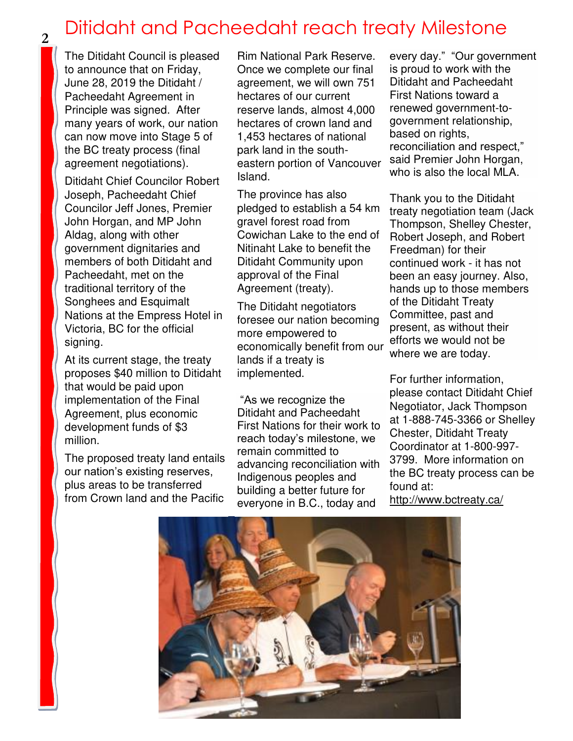## Ditidaht and Pacheedaht reach treaty Milestone **<sup>2</sup>**

The Ditidaht Council is pleased to announce that on Friday, June 28, 2019 the Ditidaht / Pacheedaht Agreement in Principle was signed. After many years of work, our nation can now move into Stage 5 of the BC treaty process (final agreement negotiations).

Ditidaht Chief Councilor Robert Joseph, Pacheedaht Chief Councilor Jeff Jones, Premier John Horgan, and MP John Aldag, along with other government dignitaries and members of both Ditidaht and Pacheedaht, met on the traditional territory of the Songhees and Esquimalt Nations at the Empress Hotel in Victoria, BC for the official signing.

At its current stage, the treaty proposes \$40 million to Ditidaht that would be paid upon implementation of the Final Agreement, plus economic development funds of \$3 million.

The proposed treaty land entails our nation's existing reserves, plus areas to be transferred from Crown land and the Pacific

Rim National Park Reserve. Once we complete our final agreement, we will own 751 hectares of our current reserve lands, almost 4,000 hectares of crown land and 1,453 hectares of national park land in the southeastern portion of Vancouver Island.

The province has also pledged to establish a 54 km gravel forest road from Cowichan Lake to the end of Nitinaht Lake to benefit the Ditidaht Community upon approval of the Final Agreement (treaty).

The Ditidaht negotiators foresee our nation becoming more empowered to economically benefit from our lands if a treaty is implemented.

"As we recognize the Ditidaht and Pacheedaht First Nations for their work to reach today's milestone, we remain committed to advancing reconciliation with Indigenous peoples and building a better future for everyone in B.C., today and

every day." "Our government is proud to work with the Ditidaht and Pacheedaht First Nations toward a renewed government-togovernment relationship, based on rights, reconciliation and respect," said Premier John Horgan, who is also the local MLA.

Thank you to the Ditidaht treaty negotiation team (Jack Thompson, Shelley Chester, Robert Joseph, and Robert Freedman) for their continued work - it has not been an easy journey. Also, hands up to those members of the Ditidaht Treaty Committee, past and present, as without their efforts we would not be where we are today.

For further information, please contact Ditidaht Chief Negotiator, Jack Thompson at 1-888-745-3366 or Shelley Chester, Ditidaht Treaty Coordinator at 1-800-997- 3799. More information on the BC treaty process can be found at:

<http://www.bctreaty.ca/>

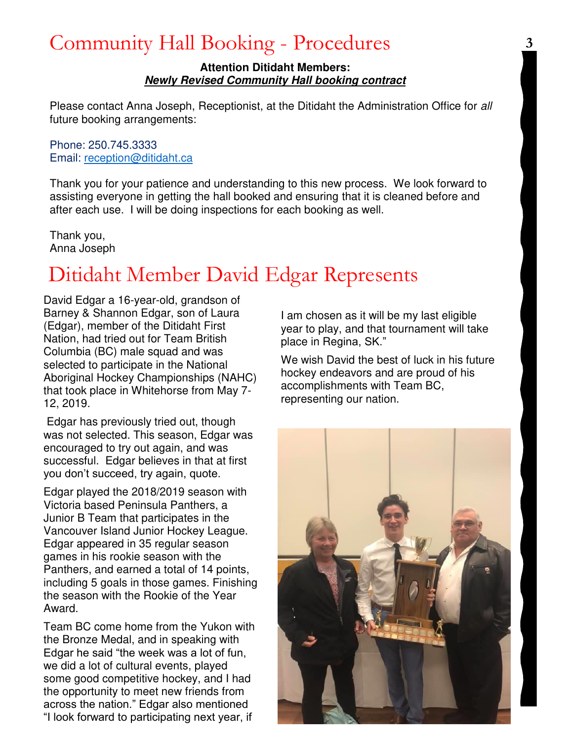### Community Hall Booking - Procedures

#### **Attention Ditidaht Members: Newly Revised Community Hall booking contract**

Please contact Anna Joseph, Receptionist, at the Ditidaht the Administration Office for all future booking arrangements:

#### Phone: 250.745.3333 Email: [reception@ditidaht.ca](mailto:reception@ditidaht.ca)

Thank you for your patience and understanding to this new process. We look forward to assisting everyone in getting the hall booked and ensuring that it is cleaned before and after each use. I will be doing inspections for each booking as well.

Thank you, Anna Joseph

## Ditidaht Member David Edgar Represents

David Edgar a 16-year-old, grandson of Barney & Shannon Edgar, son of Laura (Edgar), member of the Ditidaht First Nation, had tried out for Team British Columbia (BC) male squad and was selected to participate in the National Aboriginal Hockey Championships (NAHC) that took place in Whitehorse from May 7- 12, 2019.

 Edgar has previously tried out, though was not selected. This season, Edgar was encouraged to try out again, and was successful. Edgar believes in that at first you don't succeed, try again, quote.

Edgar played the 2018/2019 season with Victoria based Peninsula Panthers, a Junior B Team that participates in the Vancouver Island Junior Hockey League. Edgar appeared in 35 regular season games in his rookie season with the Panthers, and earned a total of 14 points, including 5 goals in those games. Finishing the season with the Rookie of the Year Award.

Team BC come home from the Yukon with the Bronze Medal, and in speaking with Edgar he said "the week was a lot of fun, we did a lot of cultural events, played some good competitive hockey, and I had the opportunity to meet new friends from across the nation." Edgar also mentioned "I look forward to participating next year, if

I am chosen as it will be my last eligible year to play, and that tournament will take place in Regina, SK."

We wish David the best of luck in his future hockey endeavors and are proud of his accomplishments with Team BC, representing our nation.

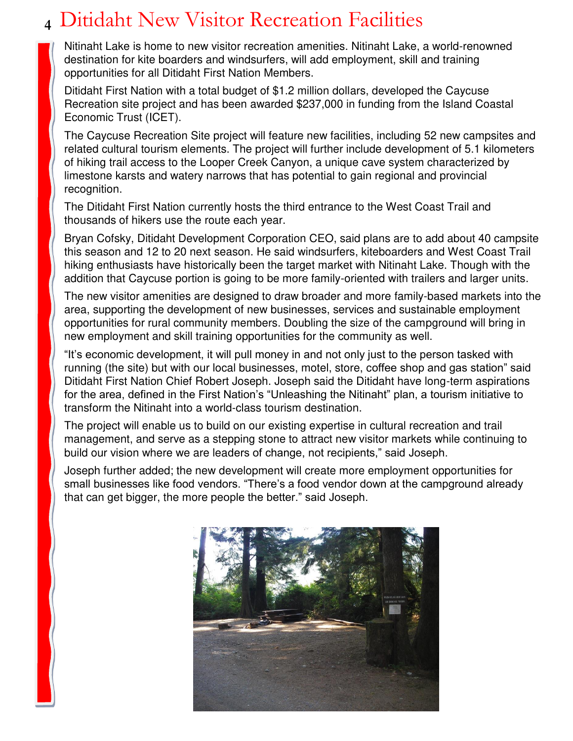### Ditidaht New Visitor Recreation Facilities **4**

Nitinaht Lake is home to new visitor recreation amenities. Nitinaht Lake, a world-renowned destination for kite boarders and windsurfers, will add employment, skill and training opportunities for all Ditidaht First Nation Members.

Ditidaht First Nation with a total budget of \$1.2 million dollars, developed the Caycuse Recreation site project and has been awarded \$237,000 in funding from the Island Coastal Economic Trust (ICET).

The Caycuse Recreation Site project will feature new facilities, including 52 new campsites and related cultural tourism elements. The project will further include development of 5.1 kilometers of hiking trail access to the Looper Creek Canyon, a unique cave system characterized by limestone karsts and watery narrows that has potential to gain regional and provincial recognition.

The Ditidaht First Nation currently hosts the third entrance to the West Coast Trail and thousands of hikers use the route each year.

Bryan Cofsky, Ditidaht Development Corporation CEO, said plans are to add about 40 campsite this season and 12 to 20 next season. He said windsurfers, kiteboarders and West Coast Trail hiking enthusiasts have historically been the target market with Nitinaht Lake. Though with the addition that Caycuse portion is going to be more family-oriented with trailers and larger units.

The new visitor amenities are designed to draw broader and more family-based markets into the area, supporting the development of new businesses, services and sustainable employment opportunities for rural community members. Doubling the size of the campground will bring in new employment and skill training opportunities for the community as well.

"It's economic development, it will pull money in and not only just to the person tasked with running (the site) but with our local businesses, motel, store, coffee shop and gas station" said Ditidaht First Nation Chief Robert Joseph. Joseph said the Ditidaht have long-term aspirations for the area, defined in the First Nation's "Unleashing the Nitinaht" plan, a tourism initiative to transform the Nitinaht into a world-class tourism destination.

The project will enable us to build on our existing expertise in cultural recreation and trail management, and serve as a stepping stone to attract new visitor markets while continuing to build our vision where we are leaders of change, not recipients," said Joseph.

Joseph further added; the new development will create more employment opportunities for small businesses like food vendors. "There's a food vendor down at the campground already that can get bigger, the more people the better." said Joseph.

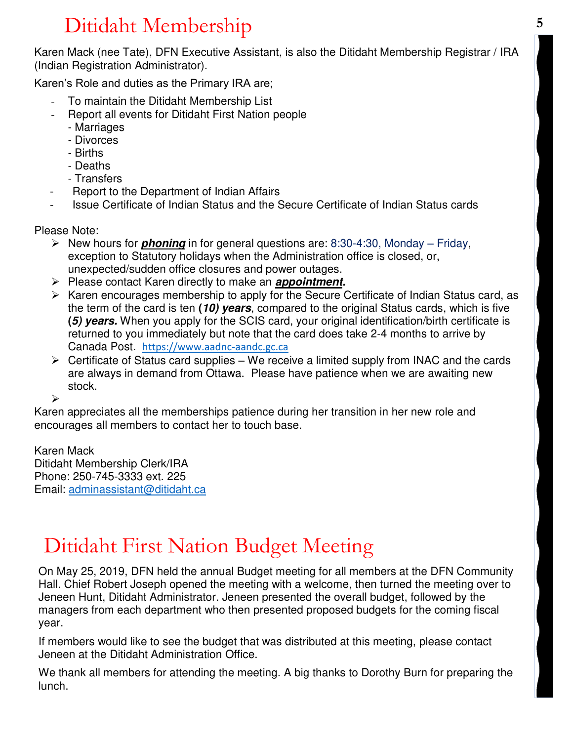# Ditidaht Membership **<sup>5</sup>**

 (Indian Registration Administrator). Karen Mack (nee Tate), DFN Executive Assistant, is also the Ditidaht Membership Registrar / IRA

Karen's Role and duties as the Primary IRA are;

- To maintain the Ditidaht Membership List
- Report all events for Ditidaht First Nation people
	- Marriages
	- Divorces
	- Births
	- Deaths
	- Transfers
- Report to the Department of Indian Affairs
- Issue Certificate of Indian Status and the Secure Certificate of Indian Status cards

Please Note:

- ➢ New hours for **phoning** in for general questions are: 8:30-4:30, Monday Friday, exception to Statutory holidays when the Administration office is closed, or, unexpected/sudden office closures and power outages.
- ➢ Please contact Karen directly to make an **appointment.**
- ➢ Karen encourages membership to apply for the Secure Certificate of Indian Status card, as the term of the card is ten **(10) years**, compared to the original Status cards, which is five **(5) years.** When you apply for the SCIS card, your original identification/birth certificate is returned to you immediately but note that the card does take 2-4 months to arrive by Canada Post. [https://www.aadnc-aandc.gc.ca](https://www.aadnc-aandc.gc.ca/)
- $\triangleright$  Certificate of Status card supplies We receive a limited supply from INAC and the cards are always in demand from Ottawa. Please have patience when we are awaiting new stock.

➢

Karen appreciates all the memberships patience during her transition in her new role and encourages all members to contact her to touch base.

Karen Mack Ditidaht Membership Clerk/IRA Phone: 250-745-3333 ext. 225 Email: [adminassistant@ditidaht.ca](mailto:adminassistant@ditidaht.ca)

### Ditidaht First Nation Budget Meeting

On May 25, 2019, DFN held the annual Budget meeting for all members at the DFN Community Hall. Chief Robert Joseph opened the meeting with a welcome, then turned the meeting over to Jeneen Hunt, Ditidaht Administrator. Jeneen presented the overall budget, followed by the managers from each department who then presented proposed budgets for the coming fiscal year.

If members would like to see the budget that was distributed at this meeting, please contact Jeneen at the Ditidaht Administration Office.

We thank all members for attending the meeting. A big thanks to Dorothy Burn for preparing the lunch.